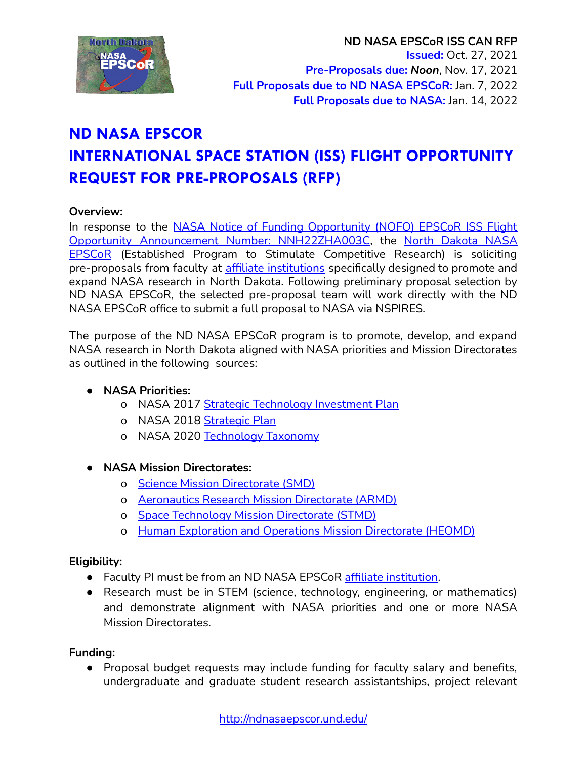

# **ND NASA EPSCOR INTERNATIONAL SPACE STATION (ISS) FLIGHT OPPORTUNITY REQUEST FOR PRE-PROPOSALS (RFP)**

## **Overview:**

In response to the NASA Notice of Funding [Opportunity](https://nspires.nasaprs.com/external/viewrepositorydocument/cmdocumentid=847256/solicitationId=%7B10A996A0-6F13-A732-E2D2-3597DE15556D%7D/viewSolicitationDocument=1/Final%20Approved-2022%20EPSCoR_ISS_Flt_Oppt%20NOFO%20-10-2021.pdf) (NOFO) EPSCoR ISS Flight Opportunity Announcement Number: [NNH22ZHA003C](https://nspires.nasaprs.com/external/viewrepositorydocument/cmdocumentid=847256/solicitationId=%7B10A996A0-6F13-A732-E2D2-3597DE15556D%7D/viewSolicitationDocument=1/Final%20Approved-2022%20EPSCoR_ISS_Flt_Oppt%20NOFO%20-10-2021.pdf), the North [Dakota](https://ndnasaepscor.und.edu/) NASA [EPSCoR](https://ndnasaepscor.und.edu/) (Established Program to Stimulate Competitive Research) is soliciting pre-proposals from faculty at affiliate [institutions](https://ndnasaepscor.und.edu/about/affiliate-members.html) specifically designed to promote and expand NASA research in North Dakota. Following preliminary proposal selection by ND NASA EPSCoR, the selected pre-proposal team will work directly with the ND NASA EPSCoR office to submit a full proposal to NASA via NSPIRES.

The purpose of the ND NASA EPSCoR program is to promote, develop, and expand NASA research in North Dakota aligned with NASA priorities and Mission Directorates as outlined in the following sources:

# **● NASA Priorities:**

- o NASA 2017 Strategic [Technology](https://www.nasa.gov/sites/default/files/atoms/files/2017-8-1_stip_final-508ed.pdf) Investment Plan
- o NASA 2018 [Strategic](https://www.nasa.gov/sites/default/files/atoms/files/nasa_2018_strategic_plan.pdf) Plan
- o NASA 2020 [Technology](https://www.nasa.gov/sites/default/files/atoms/files/2020_nasa_technology_taxonomy.pdf) Taxonomy
- **● NASA Mission Directorates:**
	- o Science Mission [Directorate](https://science.nasa.gov/) (SMD)
	- o [Aeronautics](https://www.nasa.gov/aeroresearch) Research Mission Directorate (ARMD)
	- o Space [Technology](https://www.nasa.gov/directorates/spacetech/home/index.html) Mission Directorate (STMD)
	- o Human [Exploration](https://www.nasa.gov/directorates/heo/index.html) and Operations Mission Directorate (HEOMD)

## **Eligibility:**

- **●** Faculty PI must be from an ND NASA EPSCoR affiliate [institution.](https://ndnasaepscor.und.edu/about/affiliate-members.html)
- Research must be in STEM (science, technology, engineering, or mathematics) and demonstrate alignment with NASA priorities and one or more NASA Mission Directorates.

## **Funding:**

● Proposal budget requests may include funding for faculty salary and benefits, undergraduate and graduate student research assistantships, project relevant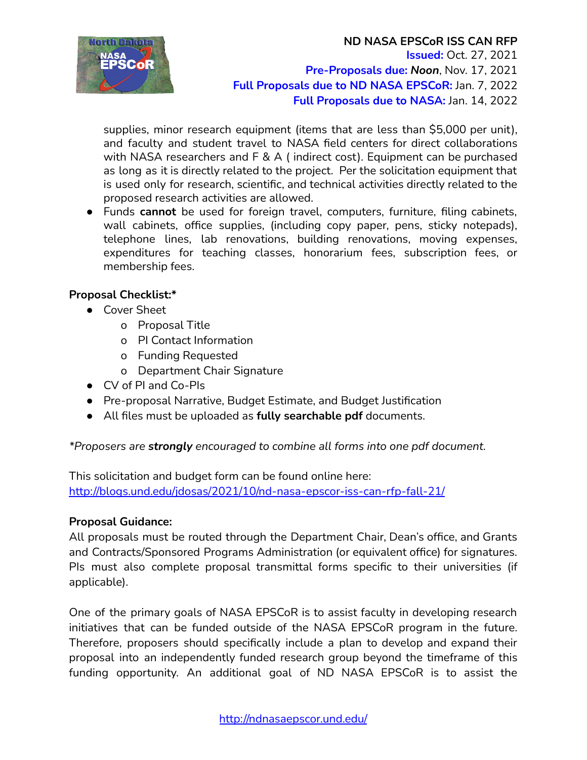

supplies, minor research equipment (items that are less than \$5,000 per unit), and faculty and student travel to NASA field centers for direct collaborations with NASA researchers and F & A ( indirect cost). Equipment can be purchased as long as it is directly related to the project. Per the solicitation equipment that is used only for research, scientific, and technical activities directly related to the proposed research activities are allowed.

● Funds **cannot** be used for foreign travel, computers, furniture, filing cabinets, wall cabinets, office supplies, (including copy paper, pens, sticky notepads), telephone lines, lab renovations, building renovations, moving expenses, expenditures for teaching classes, honorarium fees, subscription fees, or membership fees.

# **Proposal Checklist:\***

- Cover Sheet
	- o Proposal Title
	- o PI Contact Information
	- o Funding Requested
	- o Department Chair Signature
- CV of PI and Co-PIs
- Pre-proposal Narrative, Budget Estimate, and Budget Justification
- All files must be uploaded as **fully searchable pdf** documents.

*\*Proposers are strongly encouraged to combine all forms into one pdf document.*

This solicitation and budget form can be found online here: <http://blogs.und.edu/jdosas/2021/10/nd-nasa-epscor-iss-can-rfp-fall-21/>

# **Proposal Guidance:**

All proposals must be routed through the Department Chair, Dean's office, and Grants and Contracts/Sponsored Programs Administration (or equivalent office) for signatures. PIs must also complete proposal transmittal forms specific to their universities (if applicable).

One of the primary goals of NASA EPSCoR is to assist faculty in developing research initiatives that can be funded outside of the NASA EPSCoR program in the future. Therefore, proposers should specifically include a plan to develop and expand their proposal into an independently funded research group beyond the timeframe of this funding opportunity. An additional goal of ND NASA EPSCoR is to assist the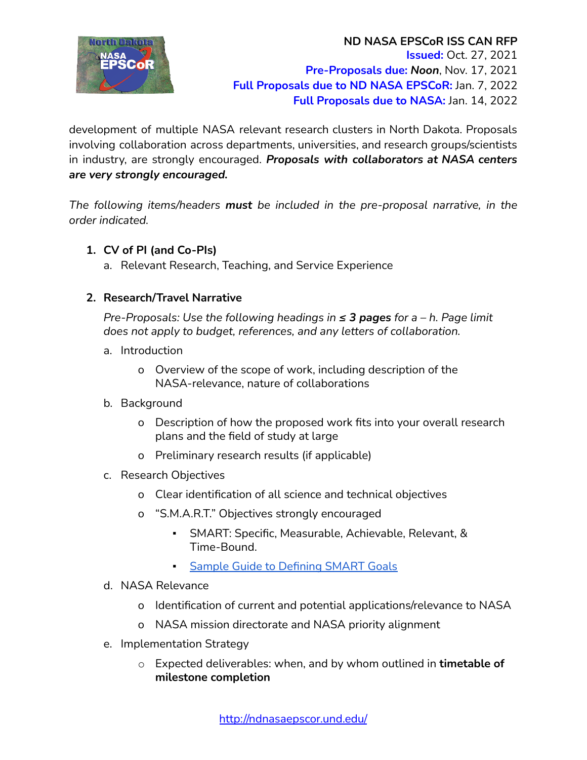

development of multiple NASA relevant research clusters in North Dakota. Proposals involving collaboration across departments, universities, and research groups/scientists in industry, are strongly encouraged. *Proposals with collaborators at NASA centers are very strongly encouraged.*

*The following items/headers must be included in the pre-proposal narrative, in the order indicated.*

# **1. CV of PI (and Co-PIs)**

a. Relevant Research, Teaching, and Service Experience

# **2. Research/Travel Narrative**

*Pre-Proposals: Use the following headings in ≤ 3 pages for a – h. Page limit does not apply to budget, references, and any letters of collaboration.*

- a. Introduction
	- o Overview of the scope of work, including description of the NASA-relevance, nature of collaborations
- b. Background
	- o Description of how the proposed work fits into your overall research plans and the field of study at large
	- o Preliminary research results (if applicable)
- c. Research Objectives
	- o Clear identification of all science and technical objectives
	- o "S.M.A.R.T." Objectives strongly encouraged
		- SMART: Specific, Measurable, Achievable, Relevant, & Time-Bound.
		- **Sample Guide to [Defining](http://blogs.und.edu/jdosas/wp-content/uploads/sites/108/2021/10/How-to-write-SMART-Goals-v2.pdf) SMART Goals**
- d. NASA Relevance
	- o Identification of current and potential applications/relevance to NASA
	- o NASA mission directorate and NASA priority alignment
- e. Implementation Strategy
	- o Expected deliverables: when, and by whom outlined in **timetable of milestone completion**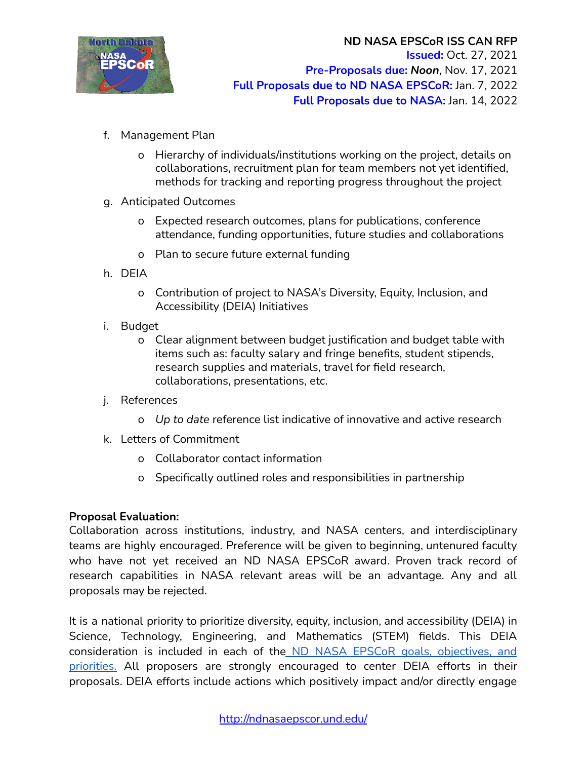

- f. Management Plan
	- o Hierarchy of individuals/institutions working on the project, details on collaborations, recruitment plan for team members not yet identified, methods for tracking and reporting progress throughout the project
- g. Anticipated Outcomes
	- o Expected research outcomes, plans for publications, conference attendance, funding opportunities, future studies and collaborations
	- o Plan to secure future external funding
- h. DEIA
	- o Contribution of project to NASA's Diversity, Equity, Inclusion, and Accessibility (DEIA) Initiatives
- i. Budget
	- o Clear alignment between budget justification and budget table with items such as: faculty salary and fringe benefits, student stipends, research supplies and materials, travel for field research, collaborations, presentations, etc.
- j. References
	- o *Up to date* reference list indicative of innovative and active research
- k. Letters of Commitment
	- o Collaborator contact information
	- o Specifically outlined roles and responsibilities in partnership

# **Proposal Evaluation:**

Collaboration across institutions, industry, and NASA centers, and interdisciplinary teams are highly encouraged. Preference will be given to beginning, untenured faculty who have not yet received an ND NASA EPSCoR award. Proven track record of research capabilities in NASA relevant areas will be an advantage. Any and all proposals may be rejected.

It is a national priority to prioritize diversity, equity, inclusion, and accessibility (DEIA) in Science, Technology, Engineering, and Mathematics (STEM) fields. This DEIA consideration is included in each of the ND NASA EPSCoR goals, [objectives,](http://blogs.und.edu/jdosas/wp-content/uploads/sites/108/2021/10/ND-NASA-EPSCoR-Goals-Objectives-Priorities_-FY19-FY21.pdf) and [priorities.](http://blogs.und.edu/jdosas/wp-content/uploads/sites/108/2021/10/ND-NASA-EPSCoR-Goals-Objectives-Priorities_-FY19-FY21.pdf) All proposers are strongly encouraged to center DEIA efforts in their proposals. DEIA efforts include actions which positively impact and/or directly engage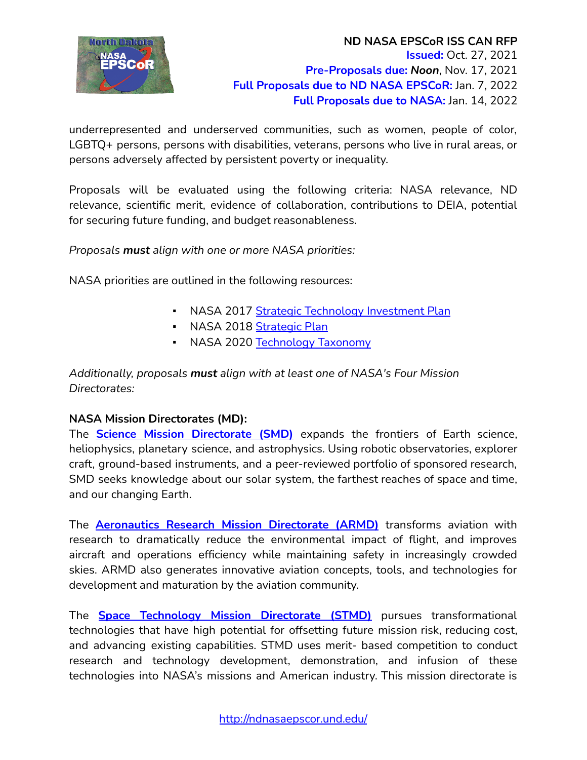

underrepresented and underserved communities, such as women, people of color, LGBTQ+ persons, persons with disabilities, veterans, persons who live in rural areas, or persons adversely affected by persistent poverty or inequality.

Proposals will be evaluated using the following criteria: NASA relevance, ND relevance, scientific merit, evidence of collaboration, contributions to DEIA, potential for securing future funding, and budget reasonableness.

*Proposals must align with one or more NASA priorities:*

NASA priorities are outlined in the following resources:

- NASA 2017 Strategic [Technology](https://www.nasa.gov/sites/default/files/atoms/files/2017-8-1_stip_final-508ed.pdf) Investment Plan
- **EXEL ASSET 2018 [Strategic](https://www.nasa.gov/sites/default/files/atoms/files/nasa_2018_strategic_plan.pdf) Plan**
- NASA 2020 [Technology](https://www.nasa.gov/sites/default/files/atoms/files/2020_nasa_technology_taxonomy.pdf) Taxonomy

*Additionally, proposals must align with at least one of NASA's Four Mission Directorates:*

# **NASA Mission Directorates (MD):**

The **Science Mission [Directorate](https://science.nasa.gov/) (SMD)** expands the frontiers of Earth science, heliophysics, planetary science, and astrophysics. Using robotic observatories, explorer craft, ground-based instruments, and a peer-reviewed portfolio of sponsored research, SMD seeks knowledge about our solar system, the farthest reaches of space and time, and our changing Earth.

The **[Aeronautics](https://www.nasa.gov/aeroresearch) Research Mission Directorate (ARMD)** transforms aviation with research to dramatically reduce the environmental impact of flight, and improves aircraft and operations efficiency while maintaining safety in increasingly crowded skies. ARMD also generates innovative aviation concepts, tools, and technologies for development and maturation by the aviation community.

The **Space [Technology](https://www.nasa.gov/directorates/spacetech/home/index.html) Mission Directorate (STMD)** pursues transformational technologies that have high potential for offsetting future mission risk, reducing cost, and advancing existing capabilities. STMD uses merit- based competition to conduct research and technology development, demonstration, and infusion of these technologies into NASA's missions and American industry. This mission directorate is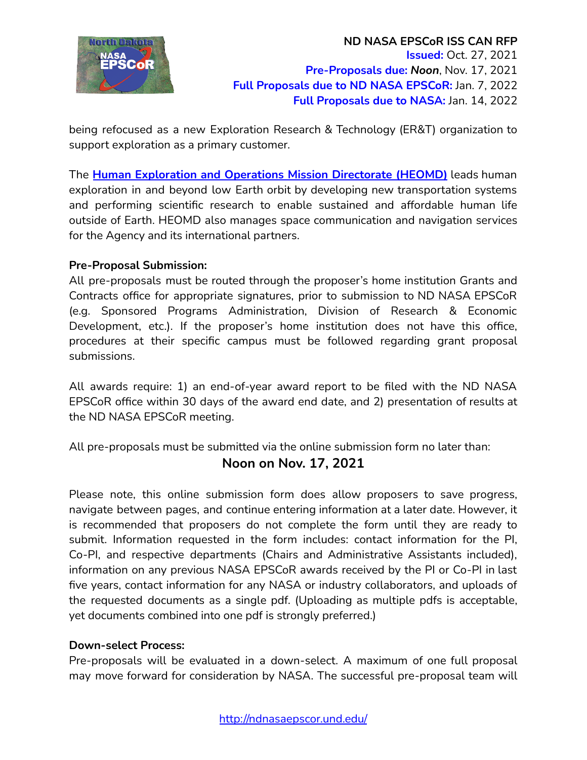

being refocused as a new Exploration Research & Technology (ER&T) organization to support exploration as a primary customer.

The **Human [Exploration](https://www.nasa.gov/directorates/heo/index.html) and Operations Mission Directorate (HEOMD)** leads human exploration in and beyond low Earth orbit by developing new transportation systems and performing scientific research to enable sustained and affordable human life outside of Earth. HEOMD also manages space communication and navigation services for the Agency and its international partners.

## **Pre-Proposal Submission:**

All pre-proposals must be routed through the proposer's home institution Grants and Contracts office for appropriate signatures, prior to submission to ND NASA EPSCoR (e.g. Sponsored Programs Administration, Division of Research & Economic Development, etc.). If the proposer's home institution does not have this office, procedures at their specific campus must be followed regarding grant proposal submissions.

All awards require: 1) an end-of-year award report to be filed with the ND NASA EPSCoR office within 30 days of the award end date, and 2) presentation of results at the ND NASA EPSCoR meeting.

All pre-proposals must be submitted via the online submission form no later than:

# **Noon on Nov. 17, 2021**

Please note, this online submission form does allow proposers to save progress, navigate between pages, and continue entering information at a later date. However, it is recommended that proposers do not complete the form until they are ready to submit. Information requested in the form includes: contact information for the PI, Co-PI, and respective departments (Chairs and Administrative Assistants included), information on any previous NASA EPSCoR awards received by the PI or Co-PI in last five years, contact information for any NASA or industry collaborators, and uploads of the requested documents as a single pdf. (Uploading as multiple pdfs is acceptable, yet documents combined into one pdf is strongly preferred.)

## **Down-select Process:**

Pre-proposals will be evaluated in a down-select. A maximum of one full proposal may move forward for consideration by NASA. The successful pre-proposal team will